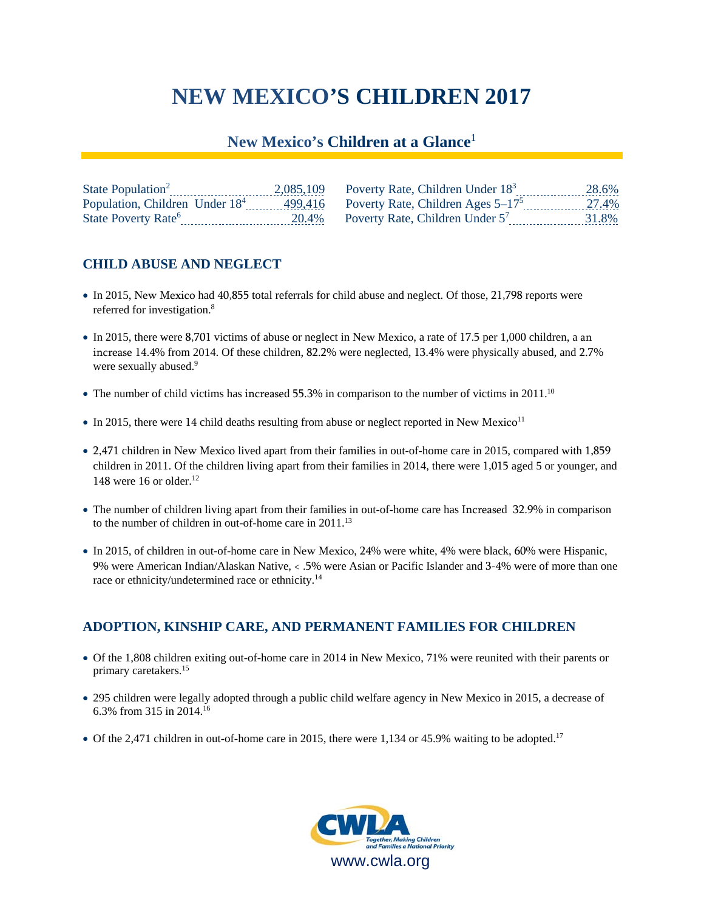# **NEW MEXICO'S CHILDREN 2017**

## **New Mexico's Children at a Glance**<sup>1</sup>

| State Population <sup>2</sup>              | 2,085,109 | Poverty Rate, Children Under 18 <sup>3</sup> | 28.6% |
|--------------------------------------------|-----------|----------------------------------------------|-------|
| Population, Children Under 18 <sup>4</sup> |           | 499,416 Poverty Rate, Children Ages $5-17^5$ | 27.4% |
| State Poverty Rate <sup>6</sup>            | 20.4%     | Poverty Rate, Children Under $5'$            | 31.8% |

## **CHILD ABUSE AND NEGLECT**

- In 2015, New Mexico had 40,855 total referrals for child abuse and neglect. Of those, 21,798 reports were referred for investigation.<sup>8</sup>
- In 2015, there were 8,701 victims of abuse or neglect in New Mexico, a rate of 17.5 per 1,000 children, a an increase 14.4% from 2014. Of these children, 82.2% were neglected, 13.4% were physically abused, and 2.7% were sexually abused.<sup>9</sup>
- $\bullet$  The number of child victims has increased 55.3% in comparison to the number of victims in 2011.<sup>10</sup>
- $\bullet$  In 2015, there were 14 child deaths resulting from abuse or neglect reported in New Mexico<sup>11</sup>
- 2,471 children in New Mexico lived apart from their families in out-of-home care in 2015, compared with 1,859 children in 2011. Of the children living apart from their families in 2014, there were 1,015 aged 5 or younger, and 148 were 16 or older.<sup>12</sup>
- The number of children living apart from their families in out-of-home care has Increased 32.9% in comparison to the number of children in out-of-home care in 2011.13
- In 2015, of children in out-of-home care in New Mexico, 24% were white, 4% were black, 60% were Hispanic, 9% were American Indian/Alaskan Native, < .5% were Asian or Pacific Islander and 3-4% were of more than one race or ethnicity/undetermined race or ethnicity.<sup>14</sup>

#### **ADOPTION, KINSHIP CARE, AND PERMANENT FAMILIES FOR CHILDREN**

- Of the 1,808 children exiting out-of-home care in 2014 in New Mexico, 71% were reunited with their parents or primary caretakers.15
- 295 children were legally adopted through a public child welfare agency in New Mexico in 2015, a decrease of 6.3% from 315 in 2014.16
- Of the 2,471 children in out-of-home care in 2015, there were 1,134 or 45.9% waiting to be adopted.<sup>17</sup>

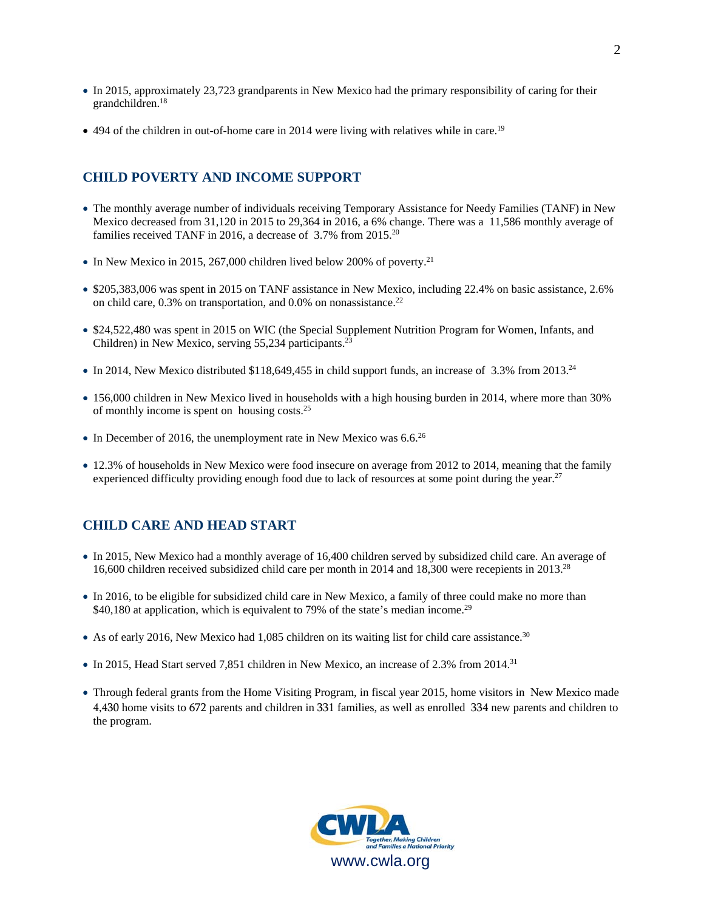- In 2015, approximately 23,723 grandparents in New Mexico had the primary responsibility of caring for their grandchildren.18
- 494 of the children in out-of-home care in 2014 were living with relatives while in care.<sup>19</sup>

#### **CHILD POVERTY AND INCOME SUPPORT**

- The monthly average number of individuals receiving Temporary Assistance for Needy Families (TANF) in New Mexico decreased from 31,120 in 2015 to 29,364 in 2016, a 6% change. There was a 11,586 monthly average of families received TANF in 2016, a decrease of 3.7% from 2015.20
- $\bullet$  In New Mexico in 2015, 267,000 children lived below 200% of poverty.<sup>21</sup>
- \$205,383,006 was spent in 2015 on TANF assistance in New Mexico, including 22.4% on basic assistance, 2.6% on child care,  $0.3\%$  on transportation, and  $0.0\%$  on nonassistance.<sup>22</sup>
- \$24,522,480 was spent in 2015 on WIC (the Special Supplement Nutrition Program for Women, Infants, and Children) in New Mexico, serving 55,234 participants.<sup>23</sup>
- In 2014, New Mexico distributed  $$118,649,455$  in child support funds, an increase of 3.3% from 2013.<sup>24</sup>
- 156,000 children in New Mexico lived in households with a high housing burden in 2014, where more than 30% of monthly income is spent on housing costs.25
- $\bullet$  In December of 2016, the unemployment rate in New Mexico was 6.6.<sup>26</sup>
- 12.3% of households in New Mexico were food insecure on average from 2012 to 2014, meaning that the family experienced difficulty providing enough food due to lack of resources at some point during the year.<sup>27</sup>

#### **CHILD CARE AND HEAD START**

- In 2015, New Mexico had a monthly average of 16,400 children served by subsidized child care. An average of 16,600 children received subsidized child care per month in 2014 and 18,300 were recepients in 2013.28
- In 2016, to be eligible for subsidized child care in New Mexico, a family of three could make no more than \$40,180 at application, which is equivalent to 79% of the state's median income.<sup>29</sup>
- As of early 2016, New Mexico had 1,085 children on its waiting list for child care assistance.<sup>30</sup>
- In 2015, Head Start served 7,851 children in New Mexico, an increase of 2.3% from 2014.<sup>31</sup>
- Through federal grants from the Home Visiting Program, in fiscal year 2015, home visitors in New Mexico made 4,430 home visits to 672 parents and children in 331 families, as well as enrolled 334 new parents and children to the program.

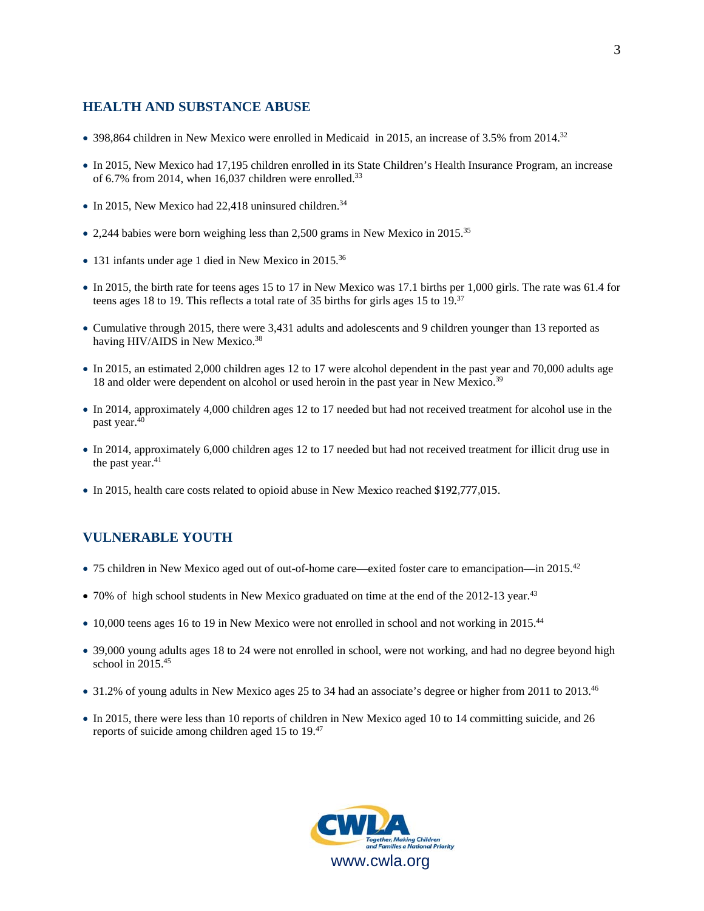#### **HEALTH AND SUBSTANCE ABUSE**

- 398,864 children in New Mexico were enrolled in Medicaid in 2015, an increase of 3.5% from 2014.<sup>32</sup>
- In 2015, New Mexico had 17,195 children enrolled in its State Children's Health Insurance Program, an increase of 6.7% from 2014, when 16,037 children were enrolled.<sup>33</sup>
- $\bullet$  In 2015, New Mexico had 22,418 uninsured children.<sup>34</sup>
- 2,244 babies were born weighing less than 2,500 grams in New Mexico in 2015.<sup>35</sup>
- 131 infants under age 1 died in New Mexico in 2015.<sup>36</sup>
- In 2015, the birth rate for teens ages 15 to 17 in New Mexico was 17.1 births per 1,000 girls. The rate was 61.4 for teens ages 18 to 19. This reflects a total rate of 35 births for girls ages 15 to 19.<sup>37</sup>
- Cumulative through 2015, there were 3,431 adults and adolescents and 9 children younger than 13 reported as having HIV/AIDS in New Mexico.<sup>38</sup>
- In 2015, an estimated 2,000 children ages 12 to 17 were alcohol dependent in the past year and 70,000 adults age 18 and older were dependent on alcohol or used heroin in the past year in New Mexico.<sup>39</sup>
- In 2014, approximately 4,000 children ages 12 to 17 needed but had not received treatment for alcohol use in the past year.40
- In 2014, approximately 6,000 children ages 12 to 17 needed but had not received treatment for illicit drug use in the past year.<sup>41</sup>
- In 2015, health care costs related to opioid abuse in New Mexico reached \$192,777,015.

#### **VULNERABLE YOUTH**

- 75 children in New Mexico aged out of out-of-home care—exited foster care to emancipation—in 2015.<sup>42</sup>
- 70% of high school students in New Mexico graduated on time at the end of the 2012-13 year.<sup>43</sup>
- 10,000 teens ages 16 to 19 in New Mexico were not enrolled in school and not working in 2015.<sup>44</sup>
- 39,000 young adults ages 18 to 24 were not enrolled in school, were not working, and had no degree beyond high school in  $2015^{45}$
- 31.2% of young adults in New Mexico ages 25 to 34 had an associate's degree or higher from 2011 to 2013.<sup>46</sup>
- In 2015, there were less than 10 reports of children in New Mexico aged 10 to 14 committing suicide, and 26 reports of suicide among children aged 15 to 19.47

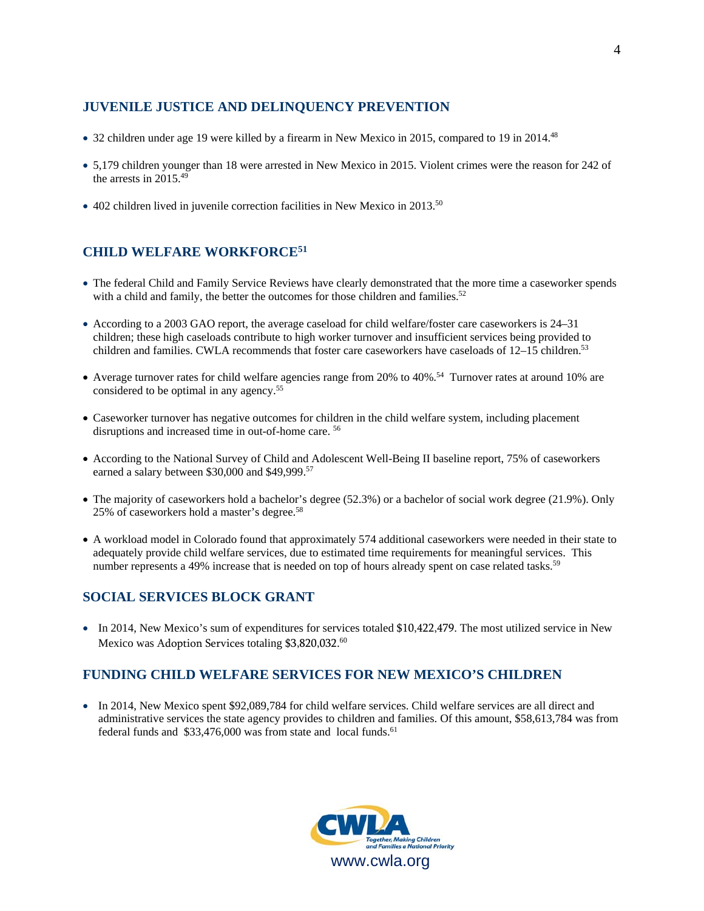#### **JUVENILE JUSTICE AND DELINQUENCY PREVENTION**

- 32 children under age 19 were killed by a firearm in New Mexico in 2015, compared to 19 in 2014.<sup>48</sup>
- 5,179 children younger than 18 were arrested in New Mexico in 2015. Violent crimes were the reason for 242 of the arrests in  $2015.^{49}$
- 402 children lived in juvenile correction facilities in New Mexico in 2013.<sup>50</sup>

## **CHILD WELFARE WORKFORCE51**

- The federal Child and Family Service Reviews have clearly demonstrated that the more time a caseworker spends with a child and family, the better the outcomes for those children and families.<sup>52</sup>
- According to a 2003 GAO report, the average caseload for child welfare/foster care caseworkers is 24–31 children; these high caseloads contribute to high worker turnover and insufficient services being provided to children and families. CWLA recommends that foster care caseworkers have caseloads of 12–15 children.<sup>53</sup>
- Average turnover rates for child welfare agencies range from 20% to 40%.<sup>54</sup> Turnover rates at around 10% are considered to be optimal in any agency.55
- Caseworker turnover has negative outcomes for children in the child welfare system, including placement disruptions and increased time in out-of-home care. 56
- According to the National Survey of Child and Adolescent Well-Being II baseline report, 75% of caseworkers earned a salary between \$30,000 and \$49,999.<sup>57</sup>
- The majority of caseworkers hold a bachelor's degree (52.3%) or a bachelor of social work degree (21.9%). Only 25% of caseworkers hold a master's degree.58
- A workload model in Colorado found that approximately 574 additional caseworkers were needed in their state to adequately provide child welfare services, due to estimated time requirements for meaningful services. This number represents a 49% increase that is needed on top of hours already spent on case related tasks.<sup>59</sup>

## **SOCIAL SERVICES BLOCK GRANT**

• In 2014, New Mexico's sum of expenditures for services totaled \$10,422,479. The most utilized service in New Mexico was Adoption Services totaling \$3,820,032.<sup>60</sup>

## **FUNDING CHILD WELFARE SERVICES FOR NEW MEXICO'S CHILDREN**

• In 2014, New Mexico spent \$92,089,784 for child welfare services. Child welfare services are all direct and administrative services the state agency provides to children and families. Of this amount, \$58,613,784 was from federal funds and  $$33,476,000$  was from state and local funds.<sup>61</sup>

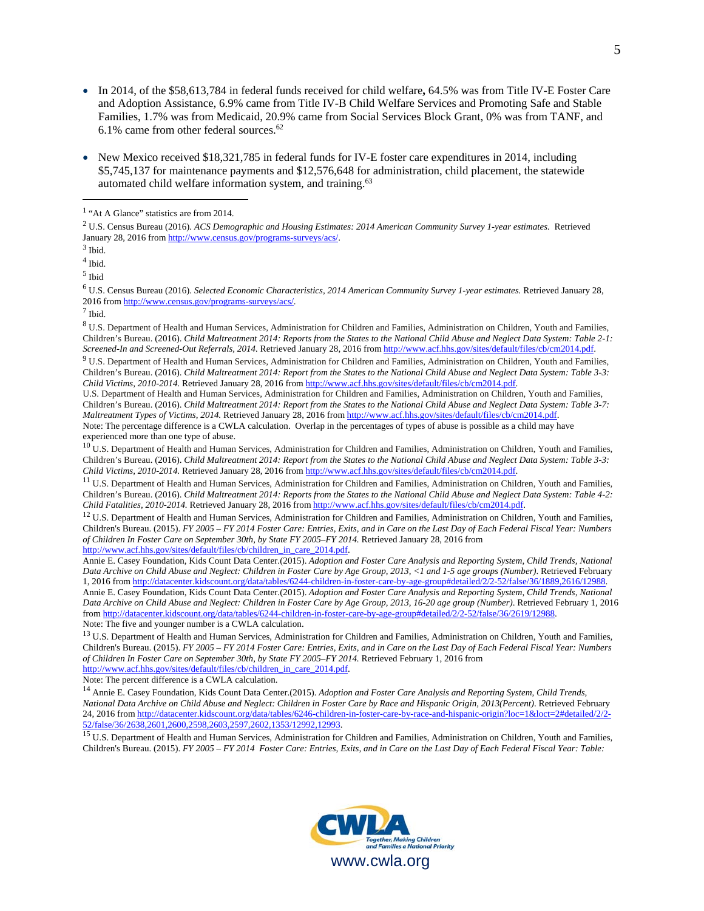- In 2014, of the \$58,613,784 in federal funds received for child welfare**,** 64.5% was from Title IV-E Foster Care and Adoption Assistance, 6.9% came from Title IV-B Child Welfare Services and Promoting Safe and Stable Families, 1.7% was from Medicaid, 20.9% came from Social Services Block Grant, 0% was from TANF, and 6.1% came from other federal sources. $62$
- New Mexico received \$18,321,785 in federal funds for IV-E foster care expenditures in 2014, including \$5,745,137 for maintenance payments and \$12,576,648 for administration, child placement, the statewide automated child welfare information system, and training.63

 $\overline{a}$ 

6 U.S. Census Bureau (2016). *Selected Economic Characteristics, 2014 American Community Survey 1-year estimates.* Retrieved January 28, 2016 from http://www.census.gov/programs-surveys/acs/. 7

 $^7$  Ibid.

<sup>8</sup> U.S. Department of Health and Human Services, Administration for Children and Families, Administration on Children, Youth and Families, Children's Bureau. (2016). *Child Maltreatment 2014: Reports from the States to the National Child Abuse and Neglect Data System: Table 2-1:*  Screened-In and Screened-Out Referrals, 2014. Retrieved January 28, 2016 from http://www.acf.hhs.gov/sites/default/files/cb/cm2014.pdf.<br><sup>9</sup> U.S. Department of Health and Human Services, Administration for Children and Fami

Children's Bureau. (2016). *Child Maltreatment 2014: Report from the States to the National Child Abuse and Neglect Data System: Table 3-3: Child Victims, 2010-2014.* Retrieved January 28, 2016 from http://www.acf.hhs.gov/sites/default/files/cb/cm2014.pdf.

U.S. Department of Health and Human Services, Administration for Children and Families, Administration on Children, Youth and Families, Children's Bureau. (2016). *Child Maltreatment 2014: Report from the States to the National Child Abuse and Neglect Data System: Table 3-7: Maltreatment Types of Victims, 2014.* Retrieved January 28, 2016 from http://www.acf.hhs.gov/sites/default/files/cb/cm2014.pdf. Note: The percentage difference is a CWLA calculation. Overlap in the percentages of types of abuse is possible as a child may have experienced more than one type of abuse.

<sup>10</sup> U.S. Department of Health and Human Services, Administration for Children and Families, Administration on Children, Youth and Families, Children's Bureau. (2016). *Child Maltreatment 2014: Report from the States to the National Child Abuse and Neglect Data System: Table 3-3:*  Child Victims, 2010-2014. Retrieved January 28, 2016 from http://www.acf.hhs.gov/sites/default/files/cb/cm2014.pdf.<br><sup>11</sup> U.S. Department of Health and Human Services, Administration for Children and Families, Administratio

Children's Bureau. (2016). *Child Maltreatment 2014: Reports from the States to the National Child Abuse and Neglect Data System: Table 4-2: Child Fatalities, 2010-2014. Retrieved January 28, 2016 from http://www.acf.hhs.g* 

<sup>12</sup> U.S. Department of Health and Human Services, Administration for Children and Families, Administration on Children, Youth and Families, Children's Bureau. (2015). *FY 2005 – FY 2014 Foster Care: Entries, Exits, and in Care on the Last Day of Each Federal Fiscal Year: Numbers of Children In Foster Care on September 30th, by State FY 2005–FY 2014.* Retrieved January 28, 2016 from http://www.acf.hhs.gov/sites/default/files/cb/children\_in\_care\_2014.pdf.

Annie E. Casey Foundation, Kids Count Data Center.(2015). *Adoption and Foster Care Analysis and Reporting System*, *Child Trends, National Data Archive on Child Abuse and Neglect: Children in Foster Care by Age Group, 2013, <1 and 1-5 age groups (Number)*. Retrieved February 1, 2016 from http://datacenter.kidscount.org/data/tables/6244-children-in-foster-care-by-age-group#detailed/2/2-52/false/36/1889,2616/12988. Annie E. Casey Foundation, Kids Count Data Center.(2015). *Adoption and Foster Care Analysis and Reporting System*, *Child Trends, National Data Archive on Child Abuse and Neglect: Children in Foster Care by Age Group, 2013, 16-20 age group (Number)*. Retrieved February 1, 2016 from http://datacenter.kidscount.org/data/tables/6244-children-in-foster-care-by-age-group#detailed/2/2-52/false/36/2619/12988. Note: The five and younger number is a CWLA calculation.

<sup>13</sup> U.S. Department of Health and Human Services, Administration for Children and Families, Administration on Children, Youth and Families, Children's Bureau. (2015). *FY 2005 – FY 2014 Foster Care: Entries, Exits, and in Care on the Last Day of Each Federal Fiscal Year: Numbers of Children In Foster Care on September 30th, by State FY 2005–FY 2014.* Retrieved February 1, 2016 from http://www.acf.hhs.gov/sites/default/files/cb/children\_in\_care\_2014.pdf.

Note: The percent difference is a CWLA calculation.<br><sup>14</sup> Annie E. Casey Foundation, Kids Count Data Center.(2015). *Adoption and Foster Care Analysis and Reporting System, Child Trends, National Data Archive on Child Abuse and Neglect: Children in Foster Care by Race and Hispanic Origin, 2013(Percent)*. Retrieved February 24, 2016 from http://datacenter.kidscount.org/data/tables/6246-children-in-foster-care-by-race-and-hispanic-origin?loc=1&loct=2#detailed/2/2-<br>52/false/36/2638,2601,2600,2598,2603,2597,2602,1353/12992,12993.

<sup>15</sup> U.S. Department of Health and Human Services, Administration for Children and Families, Administration on Children, Youth and Families, Children's Bureau. (2015). *FY 2005 – FY 2014 Foster Care: Entries, Exits, and in Care on the Last Day of Each Federal Fiscal Year: Table:* 



<sup>&</sup>lt;sup>1</sup> "At A Glance" statistics are from 2014.

<sup>2</sup> U.S. Census Bureau (2016). *ACS Demographic and Housing Estimates: 2014 American Community Survey 1-year estimates.* Retrieved January 28, 2016 from http://www.census.gov/programs-surveys/acs/. 3

 $3$  Ibid.

<sup>4</sup> Ibid.

<sup>5</sup> Ibid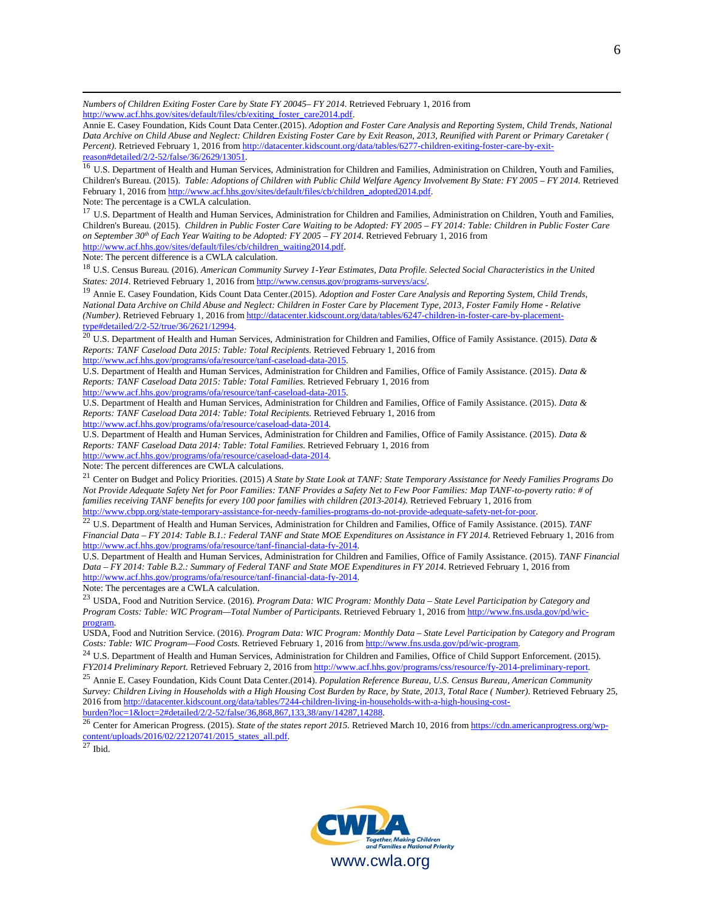*Numbers of Children Exiting Foster Care by State FY 20045– FY 2014*. Retrieved February 1, 2016 from http://www.acf.hhs.gov/sites/default/files/cb/exiting\_foster\_care2014.pdf.

Annie E. Casey Foundation, Kids Count Data Center.(2015). *Adoption and Foster Care Analysis and Reporting System*, *Child Trends, National Data Archive on Child Abuse and Neglect: Children Existing Foster Care by Exit Reason, 2013, Reunified with Parent or Primary Caretaker ( Percent*). Retrieved February 1, 2016 from http://datacenter.kidscount.org/data/tables/6277-children-exiting-foster-care-by-exit-<br>reason#detailed/2/2-52/false/36/2629/13051.

<sup>16</sup> U.S. Department of Health and Human Services, Administration for Children and Families, Administration on Children, Youth and Families, Children's Bureau. (2015). *Table: Adoptions of Children with Public Child Welfare Agency Involvement By State: FY 2005 – FY 2014.* Retrieved February 1, 2016 from http://www.acf.hhs.gov/sites/default/files/cb/children\_adopted2014.pdf.

Note: The percentage is a CWLA calculation.

 $\overline{a}$ 

<sup>17</sup> U.S. Department of Health and Human Services, Administration for Children and Families, Administration on Children, Youth and Families, Children's Bureau. (2015). *Children in Public Foster Care Waiting to be Adopted: FY 2005 – FY 2014: Table: Children in Public Foster Care on September 30th of Each Year Waiting to be Adopted: FY 2005 – FY 2014.* Retrieved February 1, 2016 from http://www.acf.hhs.gov/sites/default/files/cb/children\_waiting2014.pdf.

Note: The percent difference is a CWLA calculation.

<sup>18</sup> U.S. Census Bureau*.* (2016). *American Community Survey 1-Year Estimates, Data Profile. Selected Social Characteristics in the United*  States: 2014. Retrieved February 1, 2016 from http://www.census.gov/programs-surveys/acs/.<br><sup>19</sup> Annie E. Casey Foundation, Kids Count Data Center.(2015). Adoption and Foster Care Analysis and Reporting System, Child Trends

*National Data Archive on Child Abuse and Neglect: Children in Foster Care by Placement Type, 2013, Foster Family Home - Relative (Number)*. Retrieved February 1, 2016 from http://datacenter.kidscount.org/data/tables/6247-children-in-foster-care-by-placement-

<sup>20</sup> U.S. Department of Health and Human Services, Administration for Children and Families, Office of Family Assistance. (2015). *Data & Reports: TANF Caseload Data 2015: Table: Total Recipients.* Retrieved February 1, 2016 from

http://www.acf.hhs.gov/programs/ofa/resource/tanf-caseload-data-2015.

U.S. Department of Health and Human Services, Administration for Children and Families, Office of Family Assistance. (2015). *Data & Reports: TANF Caseload Data 2015: Table: Total Families.* Retrieved February 1, 2016 from http://www.acf.hhs.gov/programs/ofa/resource/tanf-caseload-data-2015.

U.S. Department of Health and Human Services, Administration for Children and Families, Office of Family Assistance. (2015). *Data & Reports: TANF Caseload Data 2014: Table: Total Recipients.* Retrieved February 1, 2016 from

http://www.acf.hhs.gov/programs/ofa/resource/caseload-data-2014.

U.S. Department of Health and Human Services, Administration for Children and Families, Office of Family Assistance. (2015). *Data & Reports: TANF Caseload Data 2014: Table: Total Families.* Retrieved February 1, 2016 from

http://www.acf.hhs.gov/programs/ofa/resource/caseload-data-2014.

Note: The percent differences are CWLA calculations.

<sup>21</sup> Center on Budget and Policy Priorities. (2015) *A State by State Look at TANF: State Temporary Assistance for Needy Families Programs Do Not Provide Adequate Safety Net for Poor Families: TANF Provides a Safety Net to Few Poor Families: Map TANF-to-poverty ratio: # of families receiving TANF benefits for every 100 poor families with children (2013-2014).* Retrieved February 1, 2016 from

http://www.cbpp.org/state-temporary-assistance-for-needy-families-programs-do-not-provide-adequate-safety-net-for-poor.<br><sup>22</sup> U.S. Department of Health and Human Services, Administration for Children and Families, Office of *Financial Data – FY 2014: Table B.1.: Federal TANF and State MOE Expenditures on Assistance in FY 2014.* Retrieved February 1, 2016 from http://www.acf.hhs.gov/programs/ofa/resource/tanf-financial-data-fy-2014.

U.S. Department of Health and Human Services, Administration for Children and Families, Office of Family Assistance. (2015). *TANF Financial Data – FY 2014: Table B.2.: Summary of Federal TANF and State MOE Expenditures in FY 2014.* Retrieved February 1, 2016 from http://www.acf.hhs.gov/programs/ofa/resource/tanf-financial-data-fy-2014.

Note: The percentages are a CWLA calculation.

<sup>23</sup> USDA, Food and Nutrition Service. (2016). *Program Data: WIC Program: Monthly Data – State Level Participation by Category and Program Costs: Table: WIC Program—Total Number of Participants.* Retrieved February 1, 2016 from http://www.fns.usda.gov/pd/wicprogram.

USDA, Food and Nutrition Service. (2016). *Program Data: WIC Program: Monthly Data – State Level Participation by Category and Program* 

<sup>24</sup> U.S. Department of Health and Human Services, Administration for Children and Families, Office of Child Support Enforcement. (2015). FY2014 Preliminary Report. Retrieved February 2, 2016 from http://www.acf.hhs.gov/programs/css/resource/fy-2014-preliminary-report.<br><sup>25</sup> Annie E. Casey Foundation, Kids Count Data Center.(2014). Population Reference Bureau

*Survey: Children Living in Households with a High Housing Cost Burden by Race, by State, 2013, Total Race ( Number)*. Retrieved February 25, 2016 from http://datacenter.kidscount.org/data/tables/7244-children-living-in-households-with-a-high-housing-cost-<br>burden?loc=1&loct=2#detailed/2/2-52/false/36.868.867.133.38/any/14287.14288.

<sup>26</sup> Center for American Progress. (2015). *State of the states report 2015*. Retrieved March 10, 2016 from https://cdn.americanprogress.org/wpcontent/uploads/2016/02/22120741/2015\_states\_all.pdf. <sup>27</sup> Ibid.

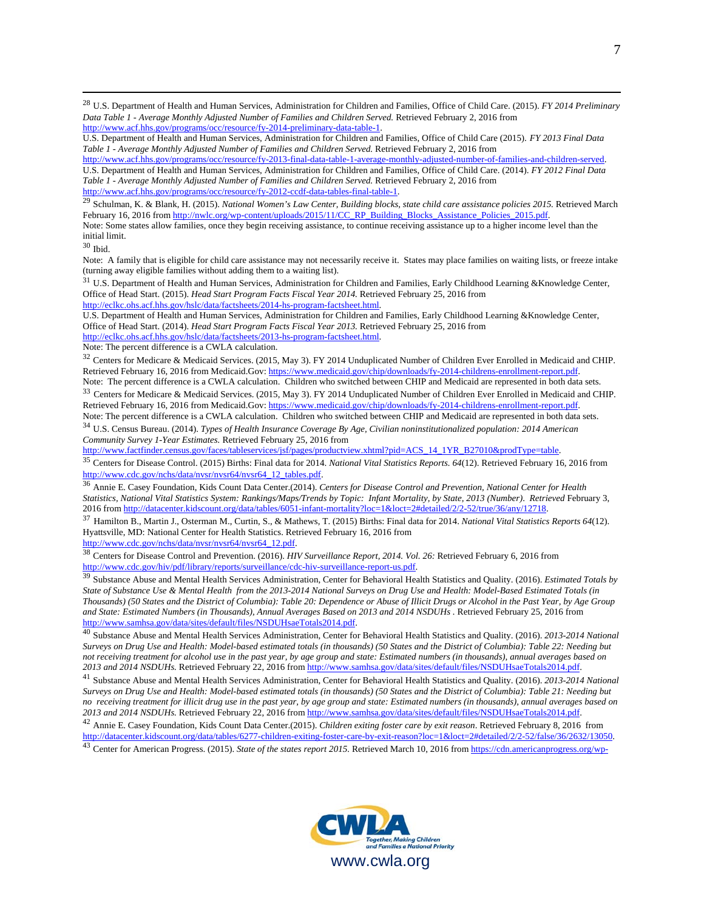28 U.S. Department of Health and Human Services, Administration for Children and Families, Office of Child Care. (2015). *FY 2014 Preliminary Data Table 1 - Average Monthly Adjusted Number of Families and Children Served.* Retrieved February 2, 2016 from http://www.acf.hhs.gov/programs/occ/resource/fy-2014-preliminary-data-table-1.

http://www.acf.hhs.gov/programs/occ/resource/fy-2013-final-data-table-1-average-monthly-adjusted-number-of-families-and-children-served. U.S. Department of Health and Human Services, Administration for Children and Families, Office of Child Care. (2014). *FY 2012 Final Data Table 1 - Average Monthly Adjusted Number of Families and Children Served.* Retrieved February 2, 2016 from http://www.acf.hhs.gov/programs/occ/resource/fy-2012-ccdf-data-tables-final-table-1.

29 Schulman, K. & Blank, H. (2015). National Women's Law Center, Building blocks, state child care assistance policies 2015. Retrieved March February 16, 2016 from http://nwlc.org/wp-content/uploads/2015/11/CC\_RP\_Building\_Blocks\_Assistance\_Policies\_2015.pdf. Note: Some states allow families, once they begin receiving assistance, to continue receiving assistance up to a higher income level than the initial limit.

 $^{\rm 30}$  Ibid.

Note: A family that is eligible for child care assistance may not necessarily receive it. States may place families on waiting lists, or freeze intake (turning away eligible families without adding them to a waiting list).

<sup>31</sup> U.S. Department of Health and Human Services, Administration for Children and Families, Early Childhood Learning &Knowledge Center, Office of Head Start. (2015). *Head Start Program Facts Fiscal Year 2014.* Retrieved February 25, 2016 from http://eclkc.ohs.acf.hhs.gov/hslc/data/factsheets/2014-hs-program-factsheet.html.

U.S. Department of Health and Human Services, Administration for Children and Families, Early Childhood Learning &Knowledge Center, Office of Head Start. (2014). *Head Start Program Facts Fiscal Year 2013.* Retrieved February 25, 2016 from http://eclkc.ohs.acf.hhs.gov/hslc/data/factsheets/2013-hs-program-factsheet.html.

Note: The percent difference is a CWLA calculation.

<sup>32</sup> Centers for Medicare & Medicaid Services. (2015, May 3). FY 2014 Unduplicated Number of Children Ever Enrolled in Medicaid and CHIP. Retrieved February 16, 2016 from Medicaid.Gov: https://www.medicaid.gov/chip/downloads/fy-2014-childrens-enrollment-report.pdf.

Note: The percent difference is a CWLA calculation. Children who switched between CHIP and Medicaid are represented in both data sets. <sup>33</sup> Centers for Medicare & Medicaid Services. (2015, May 3). FY 2014 Unduplicated Number of Children Ever Enrolled in Medicaid and CHIP. Retrieved February 16, 2016 from Medicaid.Gov: https://www.medicaid.gov/chip/downloads/fy-2014-childrens-enrollment-report.pdf. Note: The percent difference is a CWLA calculation. Children who switched between CHIP and Medicaid are represented in both data sets.

<sup>34</sup> U.S. Census Bureau. (2014). *Types of Health Insurance Coverage By Age, Civilian noninstitutionalized population: 2014 American* 

*Community Survey 1-Year Estimates.* Retrieved February 25, 2016 from<br>
http://www.factfinder.census.gov/faces/tableservices/jsf/pages/productview.xhtml?pid=ACS\_14\_1YR\_B27010&prodType=table.

<sup>35</sup> Centers for Disease Control. (2015) Births: Final data for 2014. National Vital Statistics Reports. 64(12). Retrieved February 16, 2016 from http://www.cdc.gov/nchs/data/nysr/nysr64/nysr64 12 tables.pdf.

<sup>36</sup> Annie E. Casey Foundation, Kids Count Data Center.(2014). *Centers for Disease Control and Prevention, National Center for Health Statistics, National Vital Statistics System: Rankings/Maps/Trends by Topic: Infant Mortality, by State, 2013 (Number)*. *Retrieved* February 3,

<sup>37</sup> Hamilton B., Martin J., Osterman M., Curtin, S., & Mathews, T. (2015) Births: Final data for 2014. National Vital Statistics Reports 64(12). Hyattsville, MD: National Center for Health Statistics. Retrieved February 16, 2016 from

http://www.cdc.gov/nchs/data/nvsr/nvsr64/nvsr64\_12.pdf. 38 Centers for Disease Control and Prevention. (2016). *HIV Surveillance Report, 2014. Vol. 26: Retrieved February 6, 2016 from* 

http://www.cdc.gov/hiv/pdf/library/reports/surveillance/cdc-hiv-surveillance-report-us.pdf.<br><sup>39</sup> Substance Abuse and Mental Health Services Administration, Center for Behavioral Health Statistics and Quality. (2016). *Esti State of Substance Use & Mental Health from the 2013-2014 National Surveys on Drug Use and Health: Model-Based Estimated Totals (in Thousands) (50 States and the District of Columbia): Table 20: Dependence or Abuse of Illicit Drugs or Alcohol in the Past Year, by Age Group and State: Estimated Numbers (in Thousands), Annual Averages Based on 2013 and 2014 NSDUHs .* Retrieved February 25, 2016 from http://www.samhsa.gov/data/sites/default/files/NSDUHsaeTotals2014.pdf. 40 Substance Abuse and Mental Health Services Administration, Center for Behavioral Health Statistics and Quality. (2016). *2013-2014 National* 

*Surveys on Drug Use and Health: Model-based estimated totals (in thousands) (50 States and the District of Columbia): Table 22: Needing but not receiving treatment for alcohol use in the past year, by age group and state: Estimated numbers (in thousands), annual averages based on* 

<sup>41</sup> Substance Abuse and Mental Health Services Administration, Center for Behavioral Health Statistics and Quality. (2016). 2013-2014 National *Surveys on Drug Use and Health: Model-based estimated totals (in thousands) (50 States and the District of Columbia): Table 21: Needing but no receiving treatment for illicit drug use in the past year, by age group and state: Estimated numbers (in thousands), annual averages based on 2013 and 2014 NSDUHs. Retrieved February 22, 2016 from http://www.samhsa.gov* <sup>42</sup> Annie E. Casey Foundation, Kids Count Data Center.(2015). *Children exiting foster care by exit reason*. Retrieved February 8, 2016 from<br>http://datacenter.kidscount.org/data/tables/6277-children-exiting-foster-care-by

<sup>43</sup> Center for American Progress. (2015). State of the states report 2015. Retrieved March 10, 2016 from https://cdn.americanprogress.org/wp-



U.S. Department of Health and Human Services, Administration for Children and Families, Office of Child Care (2015). *FY 2013 Final Data Table 1 - Average Monthly Adjusted Number of Families and Children Served.* Retrieved February 2, 2016 from